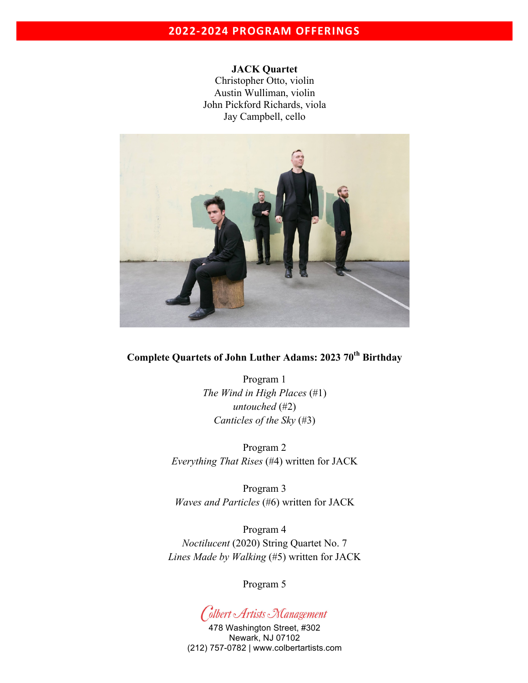# **2022-2024 PROGRAM OFFERINGS**

**JACK Quartet**  Christopher Otto, violin Austin Wulliman, violin John Pickford Richards, viola Jay Campbell, cello



# **Complete Quartets of John Luther Adams: 2023 70th Birthday**

Program 1 *The Wind in High Places* (#1) *untouched* (#2) *Canticles of the Sky* (#3)

Program 2 *Everything That Rises* (#4) written for JACK

Program 3 *Waves and Particles* (#6) written for JACK

Program 4 *Noctilucent* (2020) String Quartet No. 7 *Lines Made by Walking* (#5) written for JACK

Program 5

Colbert Artists Management

478 Washington Street, #302 Newark, NJ 07102 (212) 757-0782 | www.colbertartists.com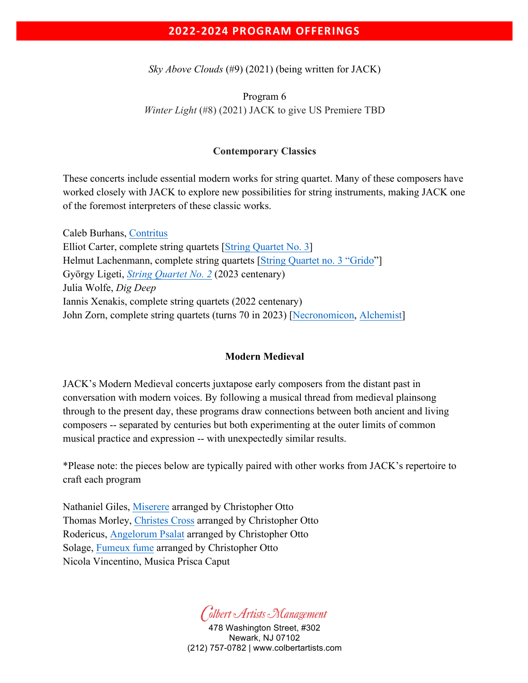## **2022-2024 PROGRAM OFFERINGS**

*Sky Above Clouds* (#9) (2021) (being written for JACK)

Program 6 *Winter Light* (#8) (2021) JACK to give US Premiere TBD

## **Contemporary Classics**

These concerts include essential modern works for string quartet. Many of these composers have worked closely with JACK to explore new possibilities for string instruments, making JACK one of the foremost interpreters of these classic works.

Caleb Burhans, Contritus Elliot Carter, complete string quartets [String Quartet No. 3] Helmut Lachenmann, complete string quartets [String Quartet no. 3 "Grido"] György Ligeti, *String Quartet No. 2* (2023 centenary) Julia Wolfe, *Dig Deep* Iannis Xenakis, complete string quartets (2022 centenary) John Zorn, complete string quartets (turns 70 in 2023) [Necronomicon, Alchemist]

## **Modern Medieval**

JACK's Modern Medieval concerts juxtapose early composers from the distant past in conversation with modern voices. By following a musical thread from medieval plainsong through to the present day, these programs draw connections between both ancient and living composers -- separated by centuries but both experimenting at the outer limits of common musical practice and expression -- with unexpectedly similar results.

\*Please note: the pieces below are typically paired with other works from JACK's repertoire to craft each program

Nathaniel Giles, Miserere arranged by Christopher Otto Thomas Morley, Christes Cross arranged by Christopher Otto Rodericus, Angelorum Psalat arranged by Christopher Otto Solage, Fumeux fume arranged by Christopher Otto Nicola Vincentino, Musica Prisca Caput

Colbert Artists Nanagement

478 Washington Street, #302 Newark, NJ 07102 (212) 757-0782 | www.colbertartists.com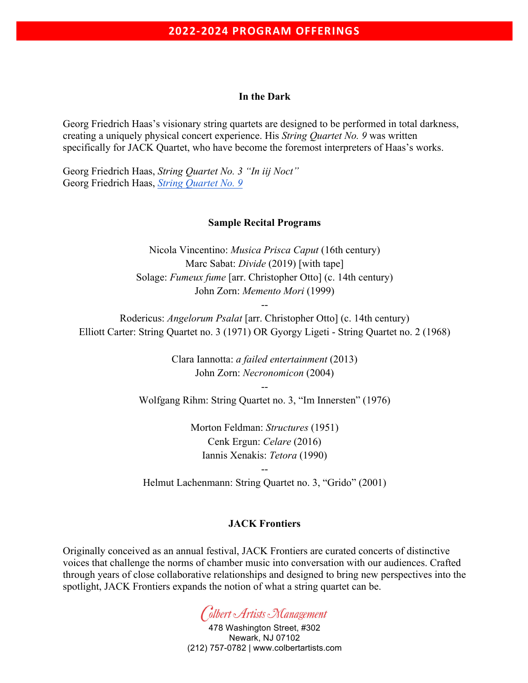#### **In the Dark**

Georg Friedrich Haas's visionary string quartets are designed to be performed in total darkness, creating a uniquely physical concert experience. His *String Quartet No. 9* was written specifically for JACK Quartet, who have become the foremost interpreters of Haas's works.

Georg Friedrich Haas, *String Quartet No. 3 "In iij Noct"* Georg Friedrich Haas, *String Quartet No. 9*

### **Sample Recital Programs**

Nicola Vincentino: *Musica Prisca Caput* (16th century) Marc Sabat: *Divide* (2019) [with tape] Solage: *Fumeux fume* [arr. Christopher Otto] (c. 14th century) John Zorn: *Memento Mori* (1999)

Rodericus: *Angelorum Psalat* [arr. Christopher Otto] (c. 14th century) Elliott Carter: String Quartet no. 3 (1971) OR Gyorgy Ligeti - String Quartet no. 2 (1968)

--

Clara Iannotta: *a failed entertainment* (2013) John Zorn: *Necronomicon* (2004)

-- Wolfgang Rihm: String Quartet no. 3, "Im Innersten" (1976)

> Morton Feldman: *Structures* (1951) Cenk Ergun: *Celare* (2016) Iannis Xenakis: *Tetora* (1990)

-- Helmut Lachenmann: String Quartet no. 3, "Grido" (2001)

## **JACK Frontiers**

Originally conceived as an annual festival, JACK Frontiers are curated concerts of distinctive voices that challenge the norms of chamber music into conversation with our audiences. Crafted through years of close collaborative relationships and designed to bring new perspectives into the spotlight, JACK Frontiers expands the notion of what a string quartet can be.



478 Washington Street, #302 Newark, NJ 07102 (212) 757-0782 | www.colbertartists.com